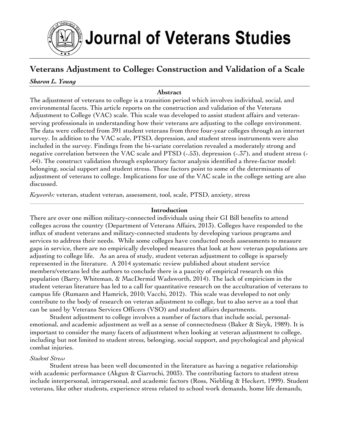

# **Veterans Adjustment to College: Construction and Validation of a Scale**

### *Sharon L. Young*

#### **Abstract**

The adjustment of veterans to college is a transition period which involves individual, social, and environmental facets. This article reports on the construction and validation of the Veterans Adjustment to College (VAC) scale. This scale was developed to assist student affairs and veteranserving professionals in understanding how their veterans are adjusting to the college environment. The data were collected from 391 student veterans from three four-year colleges through an internet survey. In addition to the VAC scale, PTSD, depression, and student stress instruments were also included in the survey. Findings from the bi-variate correlation revealed a moderately strong and negative correlation between the VAC scale and PTSD (-.53), depression (-.37), and student stress (- .44). The construct validation through exploratory factor analysis identified a three-factor model: belonging, social support and student stress. These factors point to some of the determinants of adjustment of veterans to college. Implications for use of the VAC scale in the college setting are also discussed.

*Keywords:* veteran, student veteran, assessment, tool, scale, PTSD, anxiety, stress

### **Introduction**

There are over one million military-connected individuals using their GI Bill benefits to attend colleges across the country (Department of Veterans Affairs, 2013). Colleges have responded to the influx of student veterans and military-connected students by developing various programs and services to address their needs. While some colleges have conducted needs assessments to measure gaps in service, there are no empirically developed measures that look at how veteran populations are adjusting to college life. As an area of study, student veteran adjustment to college is sparsely represented in the literature. A 2014 systematic review published about student service members/veterans led the authors to conclude there is a paucity of empirical research on this population (Barry, Whiteman, & MacDermid Wadsworth, 2014). The lack of empiricism in the student veteran literature has led to a call for quantitative research on the acculturation of veterans to campus life (Rumann and Hamrick, 2010; Vacchi, 2012). This scale was developed to not only contribute to the body of research on veteran adjustment to college, but to also serve as a tool that can be used by Veterans Services Officers (VSO) and student affairs departments.

Student adjustment to college involves a number of factors that include social, personalemotional, and academic adjustment as well as a sense of connectedness (Baker & Siryk, 1989). It is important to consider the many facets of adjustment when looking at veteran adjustment to college, including but not limited to student stress, belonging, social support, and psychological and physical combat injuries.

#### *Student Stress*

Student stress has been well documented in the literature as having a negative relationship with academic performance (Akgun & Ciarrochi, 2003). The contributing factors to student stress include interpersonal, intrapersonal, and academic factors (Ross, Niebling & Heckert, 1999). Student veterans, like other students, experience stress related to school work demands, home life demands,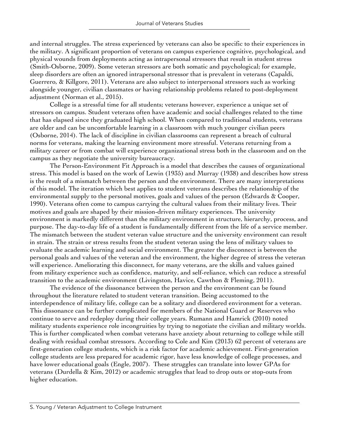and internal struggles. The stress experienced by veterans can also be specific to their experiences in the military. A significant proportion of veterans on campus experience cognitive, psychological, and physical wounds from deployments acting as intrapersonal stressors that result in student stress (Smith-Osborne, 2009). Some veteran stressors are both somatic and psychological; for example, sleep disorders are often an ignored intrapersonal stressor that is prevalent in veterans (Capaldi, Guerrero, & Killgore, 2011). Veterans are also subject to interpersonal stressors such as working alongside younger, civilian classmates or having relationship problems related to post-deployment adjustment (Norman et al., 2015).

College is a stressful time for all students; veterans however, experience a unique set of stressors on campus. Student veterans often have academic and social challenges related to the time that has elapsed since they graduated high school. When compared to traditional students, veterans are older and can be uncomfortable learning in a classroom with much younger civilian peers (Osborne, 2014). The lack of discipline in civilian classrooms can represent a breach of cultural norms for veterans, making the learning environment more stressful. Veterans returning from a military career or from combat will experience organizational stress both in the classroom and on the campus as they negotiate the university bureaucracy.

The Person-Environment Fit Approach is a model that describes the causes of organizational stress. This model is based on the work of Lewin (1935) and Murray (1938) and describes how stress is the result of a mismatch between the person and the environment. There are many interpretations of this model. The iteration which best applies to student veterans describes the relationship of the environmental supply to the personal motives, goals and values of the person (Edwards & Cooper, 1990). Veterans often come to campus carrying the cultural values from their military lives. Their motives and goals are shaped by their mission-driven military experiences. The university environment is markedly different than the military environment in structure, hierarchy, process, and purpose. The day-to-day life of a student is fundamentally different from the life of a service member. The mismatch between the student veteran value structure and the university environment can result in strain. The strain or stress results from the student veteran using the lens of military values to evaluate the academic learning and social environment. The greater the disconnect is between the personal goals and values of the veteran and the environment, the higher degree of stress the veteran will experience. Ameliorating this disconnect, for many veterans, are the skills and values gained from military experience such as confidence, maturity, and self-reliance, which can reduce a stressful transition to the academic environment (Livingston, Havice, Cawthon & Fleming, 2011).

The evidence of the dissonance between the person and the environment can be found throughout the literature related to student veteran transition. Being accustomed to the interdependence of military life, college can be a solitary and disordered environment for a veteran. This dissonance can be further complicated for members of the National Guard or Reserves who continue to serve and redeploy during their college years. Rumann and Hamrick (2010) noted military students experience role incongruities by trying to negotiate the civilian and military worlds. This is further complicated when combat veterans have anxiety about returning to college while still dealing with residual combat stressors. According to Cole and Kim (2013) 62 percent of veterans are first-generation college students, which is a risk factor for academic achievement. First-generation college students are less prepared for academic rigor, have less knowledge of college processes, and have lower educational goals (Engle, 2007). These struggles can translate into lower GPAs for veterans (Durdella & Kim, 2012) or academic struggles that lead to drop outs or stop-outs from higher education.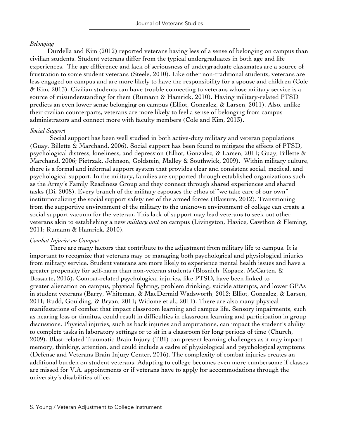#### *Belonging*

Durdella and Kim (2012) reported veterans having less of a sense of belonging on campus than civilian students. Student veterans differ from the typical undergraduates in both age and life experiences. The age difference and lack of seriousness of undergraduate classmates are a source of frustration to some student veterans (Steele, 2010). Like other non-traditional students, veterans are less engaged on campus and are more likely to have the responsibility for a spouse and children (Cole & Kim, 2013). Civilian students can have trouble connecting to veterans whose military service is a source of misunderstanding for them (Rumann & Hamrick, 2010). Having military-related PTSD predicts an even lower sense belonging on campus (Elliot, Gonzalez, & Larsen, 2011). Also, unlike their civilian counterparts, veterans are more likely to feel a sense of belonging from campus administrators and connect more with faculty members (Cole and Kim, 2013).

#### *Social Support*

Social support has been well studied in both active-duty military and veteran populations (Guay, Billette & Marchand, 2006). Social support has been found to mitigate the effects of PTSD, psychological distress, loneliness, and depression (Elliot, Gonzalez, & Larsen, 2011; Guay, Billette & Marchand, 2006; Pietrzak, Johnson, Goldstein, Malley & Southwick, 2009). Within military culture, there is a formal and informal support system that provides clear and consistent social, medical, and psychological support. In the military, families are supported through established organizations such as the Army's Family Readiness Group and they connect through shared experiences and shared tasks (Di, 2008). Every branch of the military espouses the ethos of "we take care of our own" institutionalizing the social support safety net of the armed forces (Blaisure, 2012). Transitioning from the supportive environment of the military to the unknown environment of college can create a social support vacuum for the veteran. This lack of support may lead veterans to seek out other veterans akin to establishing a new *military unit* on campus (Livingston, Havice, Cawthon & Fleming, 2011; Rumann & Hamrick, 2010).

#### *Combat Injuries on Campus*

There are many factors that contribute to the adjustment from military life to campus. It is important to recognize that veterans may be managing both psychological and physiological injuries from military service. Student veterans are more likely to experience mental health issues and have a greater propensity for self-harm than non-veteran students (Blosnich, Kopacz, McCarten, & Bossarte, 2015). Combat-related psychological injuries, like PTSD, have been linked to greater alienation on campus, physical fighting, problem drinking, suicide attempts, and lower GPAs in student veterans (Barry, Whiteman, & MacDermid Wadsworth, 2012; Elliot, Gonzalez, & Larsen, 2011; Rudd, Goulding, & Bryan, 2011; Widome et al., 2011). There are also many physical manifestations of combat that impact classroom learning and campus life. Sensory impairments, such as hearing loss or tinnitus, could result in difficulties in classroom learning and participation in group discussions. Physical injuries, such as back injuries and amputations, can impact the student's ability to complete tasks in laboratory settings or to sit in a classroom for long periods of time (Church, 2009). Blast-related Traumatic Brain Injury (TBI) can present learning challenges as it may impact memory, thinking, attention, and could include a cadre of physiological and psychological symptoms (Defense and Veterans Brain Injury Center, 2016). The complexity of combat injuries creates an additional burden on student veterans. Adapting to college becomes even more cumbersome if classes are missed for V.A. appointments or if veterans have to apply for accommodations through the university's disabilities office.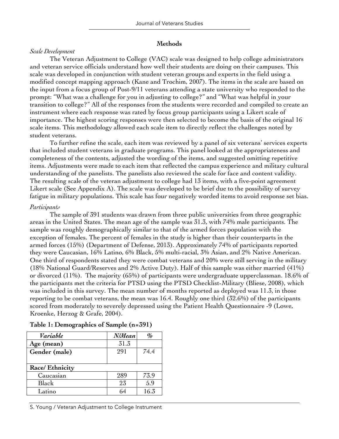#### **Methods**

#### *Scale Development*

The Veteran Adjustment to College (VAC) scale was designed to help college administrators and veteran service officials understand how well their students are doing on their campuses. This scale was developed in conjunction with student veteran groups and experts in the field using a modified concept mapping approach (Kane and Trochim, 2007). The items in the scale are based on the input from a focus group of Post-9/11 veterans attending a state university who responded to the prompt: "What was a challenge for you in adjusting to college?" and "What was helpful in your transition to college?" All of the responses from the students were recorded and compiled to create an instrument where each response was rated by focus group participants using a Likert scale of importance. The highest scoring responses were then selected to become the basis of the original 16 scale items. This methodology allowed each scale item to directly reflect the challenges noted by student veterans.

To further refine the scale, each item was reviewed by a panel of six veterans' services experts that included student veterans in graduate programs. This panel looked at the appropriateness and completeness of the contents, adjusted the wording of the items, and suggested omitting repetitive items. Adjustments were made to each item that reflected the campus experience and military cultural understanding of the panelists. The panelists also reviewed the scale for face and content validity. The resulting scale of the veteran adjustment to college had 13 items, with a five-point agreement Likert scale (See Appendix A). The scale was developed to be brief due to the possibility of survey fatigue in military populations. This scale has four negatively worded items to avoid response set bias.

#### *Participants*

The sample of 391 students was drawn from three public universities from three geographic areas in the United States. The mean age of the sample was 31.3, with 74% male participants. The sample was roughly demographically similar to that of the armed forces population with the exception of females. The percent of females in the study is higher than their counterparts in the armed forces (15%) (Department of Defense, 2013). Approximately 74% of participants reported they were Caucasian, 16% Latino, 6% Black, 5% multi-racial, 3% Asian, and 2% Native American. One third of respondents stated they were combat veterans and 20% were still serving in the military (18% National Guard/Reserves and 2% Active Duty). Half of this sample was either married (41%) or divorced (11%). The majority (65%) of participants were undergraduate upperclassman. 18.6% of the participants met the criteria for PTSD using the PTSD Checklist-Military (Bliese, 2008), which was included in this survey. The mean number of months reported as deployed was 11.3, in those reporting to be combat veterans, the mean was 16.4. Roughly one third (32.6%) of the participants scored from moderately to severely depressed using the Patient Health Questionnaire -9 (Lowe, Kroenke, Herzog & Grafe, 2004).

| Variable        | N/Mean | $\partial_{\!\! n}$ |
|-----------------|--------|---------------------|
| Age (mean)      | 31.3   |                     |
| Gender (male)   | 291    | 74.4                |
|                 |        |                     |
| Race/ Ethnicity |        |                     |
| Caucasian       | 289    | 73.9                |
| Black           | 23     | 5.9                 |
| Latino          | 64     | 16.3                |

#### **Table 1: Demographics of Sample (n=391)**

S. Young / Veteran Adjustment to College Instrument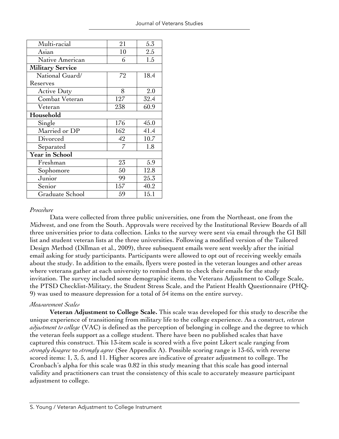| Multi-racial            | 21  | 5.3  |  |  |  |
|-------------------------|-----|------|--|--|--|
| Asian                   | 10  | 2.5  |  |  |  |
| Native American         | 6   | 1.5  |  |  |  |
| <b>Military Service</b> |     |      |  |  |  |
| National Guard/         | 72  | 18.4 |  |  |  |
| Reserves                |     |      |  |  |  |
| <b>Active Duty</b>      | 8   | 2.0  |  |  |  |
| Combat Veteran          | 127 | 32.4 |  |  |  |
| Veteran                 | 238 | 60.9 |  |  |  |
| Household               |     |      |  |  |  |
| Single                  | 176 | 45.0 |  |  |  |
| Married or DP           | 162 | 41.4 |  |  |  |
| Divorced                | 42  | 10.7 |  |  |  |
| Separated               | 7   | 1.8  |  |  |  |
| Year in School          |     |      |  |  |  |
| Freshman                | 23  | 5.9  |  |  |  |
| Sophomore               | 50  | 12.8 |  |  |  |
| Junior                  | 99  | 25.3 |  |  |  |
| Senior                  | 157 | 40.2 |  |  |  |
| Graduate School         | 59  | 15.1 |  |  |  |
|                         |     |      |  |  |  |

#### *Procedure*

 Data were collected from three public universities, one from the Northeast, one from the Midwest, and one from the South. Approvals were received by the Institutional Review Boards of all three universities prior to data collection. Links to the survey were sent via email through the GI Bill list and student veteran lists at the three universities. Following a modified version of the Tailored Design Method (Dillman et al., 2009), three subsequent emails were sent weekly after the initial email asking for study participants. Participants were allowed to opt out of receiving weekly emails about the study. In addition to the emails, flyers were posted in the veteran lounges and other areas where veterans gather at each university to remind them to check their emails for the study invitation. The survey included some demographic items, the Veterans Adjustment to College Scale, the PTSD Checklist-Military, the Student Stress Scale, and the Patient Health Questionnaire (PHQ-9) was used to measure depression for a total of 54 items on the entire survey.

#### *Measurement Scales*

**Veteran Adjustment to College Scale.** This scale was developed for this study to describe the unique experience of transitioning from military life to the college experience. As a construct, *veteran adjustment to college* (VAC) is defined as the perception of belonging in college and the degree to which the veteran feels support as a college student. There have been no published scales that have captured this construct. This 13-item scale is scored with a five point Likert scale ranging from *strongly disagree* to *strongly agree* (See Appendix A). Possible scoring range is 13-65, with reverse scored items: 1, 3, 5, and 11. Higher scores are indicative of greater adjustment to college. The Cronbach's alpha for this scale was 0.82 in this study meaning that this scale has good internal validity and practitioners can trust the consistency of this scale to accurately measure participant adjustment to college.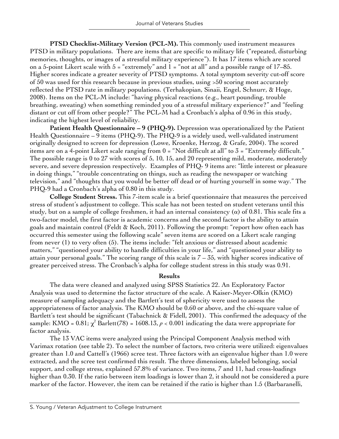**PTSD Checklist-Military Version (PCL-M).** This commonly used instrument measures PTSD in military populations. There are items that are specific to military life ("repeated, disturbing memories, thoughts, or images of a stressful military experience"). It has 17 items which are scored on a 5-point Likert scale with  $5 =$  "extremely" and  $1 =$  "not at all" and a possible range of 17–85. Higher scores indicate a greater severity of PTSD symptoms. A total symptom severity cut-off score of 50 was used for this research because in previous studies, using >50 scoring most accurately reflected the PTSD rate in military populations. (Terhakopian, Sinaii, Engel, Schnurr, & Hoge, 2008). Items on the PCL-M include: "having physical reactions (e.g., heart pounding, trouble breathing, sweating) when something reminded you of a stressful military experience?" and "feeling distant or cut off from other people?" The PCL-M had a Cronbach's alpha of 0.96 in this study, indicating the highest level of reliability.

**Patient Health Questionnaire – 9 (PHQ-9).** Depression was operationalized by the Patient Health Questionnaire – 9 items (PHQ-9). The PHQ-9 is a widely used, well-validated instrument originally designed to screen for depression (Lowe, Kroenke, Herzog, & Grafe, 2004). The scored items are on a 4-point Likert scale ranging from 0 = "Not difficult at all" to 3 = "Extremely difficult." The possible range is 0 to 27 with scores of 5, 10, 15, and 20 representing mild, moderate, moderately severe, and severe depression respectively. Examples of PHQ- 9 items are: "little interest or pleasure in doing things," "trouble concentrating on things, such as reading the newspaper or watching television," and "thoughts that you would be better off dead or of hurting yourself in some way." The PHQ-9 had a Cronbach's alpha of 0.80 in this study.

**College Student Stress.** This 7-item scale is a brief questionnaire that measures the perceived stress of student's adjustment to college. This scale has not been tested on student veterans until this study, but on a sample of college freshmen, it had an internal consistency ( $\alpha$ ) of 0.81. This scale fits a two-factor model, the first factor is academic concerns and the second factor is the ability to attain goals and maintain control (Feldt & Koch, 2011). Following the prompt: "report how often each has occurred this semester using the following scale" seven items are scored on a Likert scale ranging from never (1) to very often (5). The items include: "felt anxious or distressed about academic matters," "questioned your ability to handle difficulties in your life," and "questioned your ability to attain your personal goals." The scoring range of this scale is  $7 - 35$ , with higher scores indicative of greater perceived stress. The Cronbach's alpha for college student stress in this study was 0.91.

#### **Results**

The data were cleaned and analyzed using SPSS Statistics 22. An Exploratory Factor Analysis was used to determine the factor structure of the scale. A Kaiser-Meyer-Olkin (KMO) measure of sampling adequacy and the Bartlett's test of sphericity were used to assess the appropriateness of factor analysis. The KMO should be 0.60 or above, and the chi-square value of Bartlett's test should be significant (Tabachnick & Fidell, 2001). This confirmed the adequacy of the sample: KMO =  $0.81$ ;  $\chi^2$  Barlett(78) = 1608.13,  $\rho$  < 0.001 indicating the data were appropriate for factor analysis.

The 13 VAC items were analyzed using the Principal Component Analysis method with Varimax rotation (see table 2). To select the number of factors, two criteria were utilized: eigenvalues greater than 1.0 and Cattell's (1966) scree test. Three factors with an eigenvalue higher than 1.0 were extracted, and the scree test confirmed this result. The three dimensions, labeled belonging, social support, and college stress, explained 57.8% of variance. Two items, 7 and 11, had cross-loadings higher than 0.30. If the ratio between item loadings is lower than 2, it should not be considered a pure marker of the factor. However, the item can be retained if the ratio is higher than 1.5 (Barbaranelli,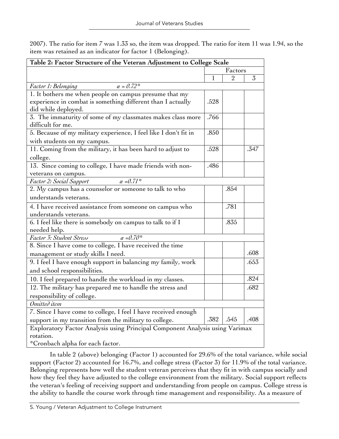2007). The ratio for item 7 was 1.33 so, the item was dropped. The ratio for item 11 was 1.94, so the item was retained as an indicator for factor 1 (Belonging).

| Table 2: Factor Structure of the Veteran Adjustment to College Scale                                                                         |      |              |      |  |  |
|----------------------------------------------------------------------------------------------------------------------------------------------|------|--------------|------|--|--|
|                                                                                                                                              |      | Factors      |      |  |  |
|                                                                                                                                              | 1    | $\mathbf{2}$ | 3    |  |  |
| $\alpha = 0.72$ *<br>Factor 1: Belonging                                                                                                     |      |              |      |  |  |
| 1. It bothers me when people on campus presume that my<br>experience in combat is something different than I actually<br>did while deployed. | .528 |              |      |  |  |
| 3. The immaturity of some of my classmates makes class more<br>difficult for me.                                                             | .766 |              |      |  |  |
| 5. Because of my military experience, I feel like I don't fit in<br>with students on my campus.                                              | .850 |              |      |  |  |
| 11. Coming from the military, it has been hard to adjust to<br>college.                                                                      | .528 |              | .347 |  |  |
| 13. Since coming to college, I have made friends with non-<br>veterans on campus.                                                            | .486 |              |      |  |  |
| $\alpha = 0.71$ *<br>Factor 2: Social Support                                                                                                |      |              |      |  |  |
| 2. My campus has a counselor or someone to talk to who                                                                                       |      | .854         |      |  |  |
| understands veterans.                                                                                                                        |      |              |      |  |  |
| 4. I have received assistance from someone on campus who<br>understands veterans.                                                            |      | .781         |      |  |  |
| 6. I feel like there is somebody on campus to talk to if I<br>needed help.                                                                   |      | .835         |      |  |  |
| Factor 3: Student Stress<br>$\alpha = 0.70^*$                                                                                                |      |              |      |  |  |
| 8. Since I have come to college, I have received the time                                                                                    |      |              |      |  |  |
| management or study skills I need.                                                                                                           |      |              | .608 |  |  |
| 9. I feel I have enough support in balancing my family, work<br>and school responsibilities.                                                 |      |              | .653 |  |  |
| 10. I feel prepared to handle the workload in my classes.                                                                                    |      |              | .824 |  |  |
| 12. The military has prepared me to handle the stress and                                                                                    |      |              | .682 |  |  |
| responsibility of college.                                                                                                                   |      |              |      |  |  |
| Omitted item                                                                                                                                 |      |              |      |  |  |
| 7. Since I have come to college, I feel I have received enough                                                                               |      |              |      |  |  |
| support in my transition from the military to college.                                                                                       | .382 | .545         | .408 |  |  |
| Exploratory Factor Analysis using Principal Component Analysis using Varimax                                                                 |      |              |      |  |  |
| rotation.                                                                                                                                    |      |              |      |  |  |
| *Cronbach alpha for each factor.                                                                                                             |      |              |      |  |  |

In table 2 (above) belonging (Factor 1) accounted for 29.6% of the total variance, while social support (Factor 2) accounted for 16.7%, and college stress (Factor 3) for 11.9% of the total variance. Belonging represents how well the student veteran perceives that they fit in with campus socially and how they feel they have adjusted to the college environment from the military. Social support reflects the veteran's feeling of receiving support and understanding from people on campus. College stress is the ability to handle the course work through time management and responsibility. As a measure of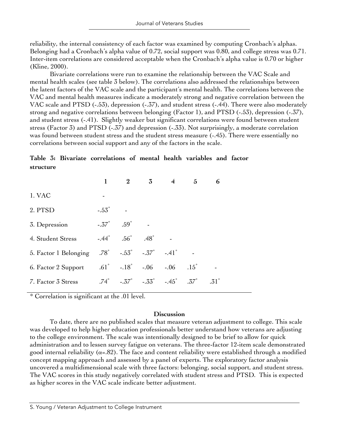reliability, the internal consistency of each factor was examined by computing Cronbach's alphas. Belonging had a Cronbach's alpha value of 0.72, social support was 0.80, and college stress was 0.71. Inter-item correlations are considered acceptable when the Cronbach's alpha value is 0.70 or higher (Kline, 2000).

Bivariate correlations were run to examine the relationship between the VAC Scale and mental health scales (see table 3 below). The correlations also addressed the relationships between the latent factors of the VAC scale and the participant's mental health. The correlations between the VAC and mental health measures indicate a moderately strong and negative correlation between the VAC scale and PTSD (-.53), depression (-.37), and student stress (-.44). There were also moderately strong and negative correlations between belonging (Factor 1), and PTSD (-.53), depression (-.37), and student stress (-.41). Slightly weaker but significant correlations were found between student stress (Factor 3) and PTSD (-.37) and depression (-.33). Not surprisingly, a moderate correlation was found between student stress and the student stress measure (-.45). There were essentially no correlations between social support and any of the factors in the scale.

# **Table 3: Bivariate correlations of mental health variables and factor structure**

|                                                                              |                              |                                            | 2 $3$ 4                                                                  | $5^{\circ}$ | 6             |  |
|------------------------------------------------------------------------------|------------------------------|--------------------------------------------|--------------------------------------------------------------------------|-------------|---------------|--|
| 1. VAC                                                                       |                              |                                            |                                                                          |             |               |  |
| 2. PTSD                                                                      | $-.53\degree$                |                                            |                                                                          |             |               |  |
| 3. Depression                                                                | $-.37^{\circ}$ $.59^{\circ}$ |                                            |                                                                          |             |               |  |
| 4. Student Stress                                                            |                              | $-.44^{\circ}$ $.56^{\circ}$ $.48^{\circ}$ |                                                                          |             |               |  |
| 5. Factor 1 Belonging .78° -.53° -.37° -.41°                                 |                              |                                            |                                                                          |             |               |  |
| 6. Factor 2 Support $.61^{\circ}$ $-.18^{\circ}$ $-.06$ $-.06$ $.15^{\circ}$ |                              |                                            |                                                                          |             |               |  |
| 7. Factor 3 Stress                                                           |                              |                                            | $.74^{\circ}$ $-.37^{\circ}$ $-.33^{\circ}$ $-.45^{\circ}$ $.37^{\circ}$ |             | $.31^{\circ}$ |  |

\* Correlation is significant at the .01 level.

### **Discussion**

To date, there are no published scales that measure veteran adjustment to college. This scale was developed to help higher education professionals better understand how veterans are adjusting to the college environment. The scale was intentionally designed to be brief to allow for quick administration and to lessen survey fatigue on veterans. The three-factor 12-item scale demonstrated good internal reliability ( $\alpha$ =.82). The face and content reliability were established through a modified concept mapping approach and assessed by a panel of experts. The exploratory factor analysis uncovered a multidimensional scale with three factors: belonging, social support, and student stress. The VAC scores in this study negatively correlated with student stress and PTSD. This is expected as higher scores in the VAC scale indicate better adjustment.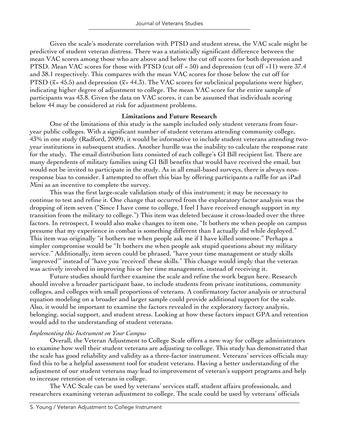Given the scale's moderate correlation with PTSD and student stress, the VAC scale might be predictive of student veteran distress. There was a statistically significant difference between the mean VAC scores among those who are above and below the cut off scores for both depression and PTSD. Mean VAC scores for those with PTSD (cut off = 50) and depression (cut off =11) were 37.4 and 38.1 respectively. This compares with the mean VAC scores for those below the cut off for PTSD ( $\bar{x}$ = 45.5) and depression ( $\bar{x}$ = 44.3). The VAC scores for subclinical populations were higher, indicating higher degree of adjustment to college. The mean VAC score for the entire sample of participants was 43.8. Given the data on VAC scores, it can be assumed that individuals scoring below 44 may be considered at risk for adjustment problems.

### **Limitations and Future Research**

One of the limitations of this study is the sample included only student veterans from fouryear public colleges. With a significant number of student veterans attending community college, 43% in one study (Radford, 2009), it would be informative to include student veterans attending twoyear institutions in subsequent studies. Another hurdle was the inability to calculate the response rate for the study. The email distribution lists consisted of each college's GI Bill recipient list. There are many dependents of military families using GI Bill benefits that would have received the email, but would not be invited to participate in the study. As in all email-based surveys, there is always nonresponse bias to consider. I attempted to offset this bias by offering participants a raffle for an iPad Mini as an incentive to complete the survey.

This was the first large-scale validation study of this instrument; it may be necessary to continue to test and refine it. One change that occurred from the exploratory factor analysis was the dropping of item seven ("Since I have come to college, I feel I have received enough support in my transition from the military to college.") This item was deleted because it cross-loaded over the three factors. In retrospect, I would also make changes to item one, "It bothers me when people on campus presume that my experience in combat is something different than I actually did while deployed." This item was originally "it bothers me when people ask me if I have killed someone." Perhaps a simpler compromise would be "It bothers me when people ask stupid questions about my military service." Additionally, item seven could be phrased, "have your time management or study skills 'improved'" instead of "have you 'received' these skills." This change would imply that the veteran was actively involved in improving his or her time management, instead of receiving it.

Future studies should further examine the scale and refine the work begun here. Research should involve a broader participant base, to include students from private institutions, community colleges, and colleges with small proportions of veterans. A confirmatory factor analysis or structural equation modeling on a broader and larger sample could provide additional support for the scale. Also, it would be important to examine the factors revealed in the exploratory factory analysis, belonging, social support, and student stress. Looking at how these factors impact GPA and retention would add to the understanding of student veterans.

# *Implementing this Instrument on Your Campus*

Overall, the Veteran Adjustment to College Scale offers a new way for college administrators to examine how well their student veterans are adjusting to college. This study has demonstrated that the scale has good reliability and validity as a three-factor instrument. Veterans' services officials may find this to be a helpful assessment tool for student veterans. Having a better understanding of the adjustment of our student veterans may lead to improvement of veteran's support programs and help to increase retention of veterans in college.

The VAC Scale can be used by veterans' services staff, student affairs professionals, and researchers examining veteran adjustment to college. The scale could be used by veterans' officials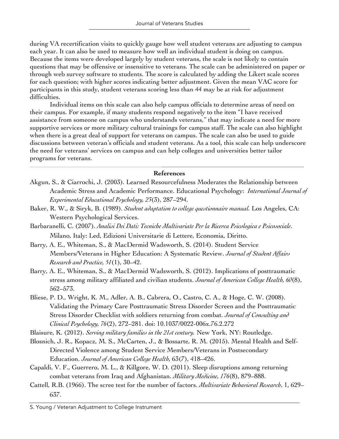during VA recertification visits to quickly gauge how well student veterans are adjusting to campus each year. It can also be used to measure how well an individual student is doing on campus. Because the items were developed largely by student veterans, the scale is not likely to contain questions that may be offensive or insensitive to veterans. The scale can be administered on paper or through web survey software to students. The score is calculated by adding the Likert scale scores for each question; with higher scores indicating better adjustment. Given the mean VAC score for participants in this study, student veterans scoring less than 44 may be at risk for adjustment difficulties.

Individual items on this scale can also help campus officials to determine areas of need on their campus. For example, if many students respond negatively to the item "I have received assistance from someone on campus who understands veterans," that may indicate a need for more supportive services or more military cultural trainings for campus staff. The scale can also highlight when there is a great deal of support for veterans on campus. The scale can also be used to guide discussions between veteran's officials and student veterans. As a tool, this scale can help underscore the need for veterans' services on campus and can help colleges and universities better tailor programs for veterans.

### **References**

- Akgun, S., & Ciarrochi, J. (2003). Learned Resourcefulness Moderates the Relationship between Academic Stress and Academic Performance. Educational Psychology: *International Journal of Experimental Educational Psychology, 23*(3), 287–294.
- Baker, R. W., & Siryk, B. (1989). *Student adaptation to college questionnaire manual.* Los Angeles, CA: Western Psychological Services.
- Barbaranelli, C. (2007). *Analisi Dei Dati: Tecniche Multivariate Per la Ricerca Psicologica e Psicosociale*. Milano, Italy: Led, Edizioni Universitarie di Lettere, Economia, Diritto.
- Barry, A. E., Whiteman, S., & MacDermid Wadsworth, S. (2014). Student Service Members/Veterans in Higher Education: A Systematic Review. *Journal of Student Affairs Research and Practice, 51*(1), 30–42.
- Barry, A. E., Whiteman, S., & MacDermid Wadsworth, S. (2012). Implications of posttraumatic stress among military affiliated and civilian students. *Journal of American College Health, 60*(8), 562–573.
- Bliese, P. D., Wright, K. M., Adler, A. B., Cabrera, O., Castro, C. A., & Hoge, C. W. (2008). Validating the Primary Care Posttraumatic Stress Disorder Screen and the Posttraumatic Stress Disorder Checklist with soldiers returning from combat. *Journal of Consulting and Clinical Psychology, 76*(2), 272–281. doi: 10.1037/0022-006x.76.2.272
- Blaisure, K. (2012). *Serving military families in the 21st century.* New York, NY: Routledge.
- Blosnich, J. R., Kopacz, M. S., McCarten, J., & Bossarte, R. M. (2015). Mental Health and Self-Directed Violence among Student Service Members/Veterans in Postsecondary Education. *Journal of American College Health,* 63(7), 418–426.
- Capaldi, V. F., Guerrero, M. L., & Killgore, W. D. (2011). Sleep disruptions among returning combat veterans from Iraq and Afghanistan. *Military Medicine, 176*(8), 879–888.
- Cattell, R.B. (1966). The scree test for the number of factors. *Multivariate Behavioral Research*, 1, 629– 637.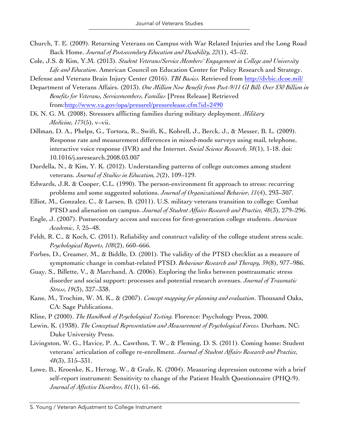- Church, T. E. (2009). Returning Veterans on Campus with War Related Injuries and the Long Road Back Home. *Journal of Postsecondary Education and Disability, 22*(1), 43–52.
- Cole, J.S. & Kim, Y.M. (2013). *Student Veterans/Service Members' Engagement in College and University Life and Education*. American Council on Education Center for Policy Research and Strategy.

Defense and Veterans Brain Injury Center (2016). *TBI Basics.* Retrieved from http://dvbic.dcoe.mil/

- Department of Veterans Affairs. (2013). *One Million Now Benefit from Post-9/11 GI Bill: Over \$30 Billion in Benefits for Veterans, Servicemembers, Families* [Press Release] Retrieved from:http://www.va.gov/opa/pressrel/pressrelease.cfm?id=2490
- Di, N. G. M. (2008). Stressors afflicting families during military deployment. *Military Medicine, 173*(5), v–vii.
- Dillman, D. A., Phelps, G., Tortora, R., Swift, K., Kohrell, J., Berck, J., & Messer, B. L. (2009). Response rate and measurement differences in mixed-mode surveys using mail, telephone, interactive voice response (IVR) and the Internet. *Social Science Research, 38*(1), 1-18. doi: 10.1016/j.ssresearch.2008.03.007
- Durdella, N., & Kim, Y. K. (2012). Understanding patterns of college outcomes among student veterans. *Journal of Studies in Education, 2*(2), 109–129.
- Edwards, J.R. & Cooper, C.L. (1990). The person-environment fit approach to stress: recurring problems and some suggested solutions. *Journal of Organizational Behavior, 11*(4), 293–307.
- Elliot, M., Gonzalez, C., & Larsen, B. (2011). U.S. military veterans transition to college: Combat PTSD and alienation on campus. *Journal of Student Affairs Research and Practice, 48*(3), 279–296.
- Engle, J. (2007). Postsecondary access and success for first-generation college students. *American Academic*, *3*, 25–48.
- Feldt, R. C., & Koch, C. (2011). Reliability and construct validity of the college student stress scale. *Psychological Reports, 108*(2), 660–666.
- Forbes, D., Creamer, M., & Biddle, D. (2001). The validity of the PTSD checklist as a measure of symptomatic change in combat-related PTSD. *Behaviour Research and Therapy, 39*(8), 977–986.
- Guay, S., Billette, V., & Marchand, A. (2006). Exploring the links between posttraumatic stress disorder and social support: processes and potential research avenues. *Journal of Traumatic Stress, 19*(3), 327–338.
- Kane, M., Trochim, W. M. K., & (2007). *Concept mapping for planning and evaluation*. Thousand Oaks, CA: Sage Publications.
- Kline, P (2000). *The Handbook of Psychological Testing.* Florence: Psychology Press, 2000.
- Lewin, K. (1938). *The Conceptual Representation and Measurement of Psychological Forces*. Durham, NC: Duke University Press.
- Livingston, W. G., Havice, P. A., Cawthon, T. W., & Fleming, D. S. (2011). Coming home: Student veterans' articulation of college re-enrollment. *Journal of Student Affairs Research and Practice, 48*(3), 315–331.
- Lowe, B., Kroenke, K., Herzog, W., & Grafe, K. (2004). Measuring depression outcome with a brief self-report instrument: Sensitivity to change of the Patient Health Questionnaire (PHQ-9). *Journal of Affective Disorders, 81*(1), 61–66.

S. Young / Veteran Adjustment to College Instrument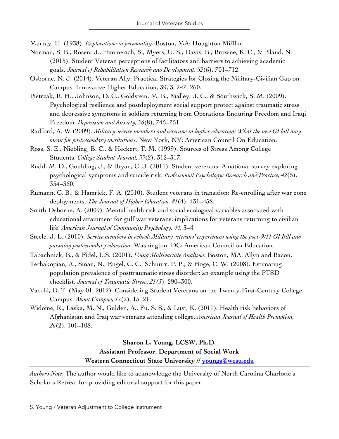Murray, H. (1938). *Explorations in personality*. Boston, MA: Houghton Mifflin.

- Norman, S. B., Rosen, J., Himmerich, S., Myers, U. S., Davis, B., Browne, K. C., & Piland, N. (2015). Student Veteran perceptions of facilitators and barriers to achieving academic goals. *Journal of Rehabilitation Research and Development, 52*(6), 701–712.
- Osborne, N. J. (2014). Veteran Ally: Practical Strategies for Closing the Military-Civilian Gap on Campus. Innovative Higher Education, 39, 3, 247–260.
- Pietrzak, R. H., Johnson, D. C., Goldstein, M. B., Malley, J. C., & Southwick, S. M. (2009). Psychological resilience and postdeployment social support protect against traumatic stress and depressive symptoms in soldiers returning from Operations Enduring Freedom and Iraqi Freedom. *Depression and Anxiety, 26*(8), 745–751.
- Radford, A. W (2009). *Military service members and veterans in higher education: What the new GI bill may mean for postsecondary institutions*. New York, NY: American Council On Education.
- Ross, S. E., Niebling, B. C., & Heckert, T. M. (1999). Sources of Stress Among College Students. *College Student Journal, 33*(2), 312–317.
- Rudd, M. D., Goulding, J., & Bryan, C. J. (2011). Student veterans: A national survey exploring psychological symptoms and suicide risk. *Professional Psychology: Research and Practice, 42*(5), 354–360.
- Rumann, C. B., & Hamrick, F. A. (2010). Student veterans in transition: Re-enrolling after war zone deployments. *The Journal of Higher Education, 81*(4), 431–458.
- Smith-Osborne, A. (2009). Mental health risk and social ecological variables associated with educational attainment for gulf war veterans: implications for veterans returning to civilian life. *American Journal of Community Psychology, 44*, 3–4.
- Steele, J. L. (2010). *Service members in school: Military veterans' experiences using the post-9/11 GI Bill and pursuing postsecondary education*. Washington, DC: American Council on Education.
- Tabachnick, B., & Fidel, L.S. (2001). *Using Multivariate Analysis*. Boston, MA: Allyn and Bacon.
- Terhakopian, A., Sinaii, N., Engel, C. C., Schnurr, P. P., & Hoge, C. W. (2008). Estimating population prevalence of posttraumatic stress disorder: an example using the PTSD checklist. *Journal of Traumatic Stress, 21(3*), 290–300.
- Vacchi, D. T. (May 01, 2012). Considering Student Veterans on the Twenty-First-Century College Campus. *About Campus, 17*(2), 15–21.
- Widome, R., Laska, M. N., Gulden, A., Fu, S. S., & Lust, K. (2011). Health risk behaviors of Afghanistan and Iraq war veterans attending college. *American Journal of Health Promotion, 26*(2), 101–108.

# **Sharon L. Young, LCSW, Ph.D. Assistant Professor, Department of Social Work Western Connecticut State University // youngs@wcsu.edu**

*Authors Note*: The author would like to acknowledge the University of North Carolina Charlotte's Scholar's Retreat for providing editorial support for this paper.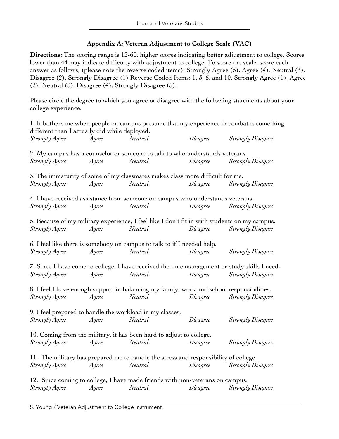### **Appendix A: Veteran Adjustment to College Scale (VAC)**

**Directions:** The scoring range is 12-60, higher scores indicating better adjustment to college. Scores lower than 44 may indicate difficulty with adjustment to college. To score the scale, score each answer as follows, (please note the reverse coded items): Strongly Agree (5), Agree (4), Neutral (3), Disagree (2), Strongly Disagree (1) Reverse Coded Items: 1, 3, 5, and 10. Strongly Agree (1), Agree (2), Neutral (3), Disagree (4), Strongly Disagree (5).

Please circle the degree to which you agree or disagree with the following statements about your college experience.

| different than I actually did while deployed.            |       | 1. It bothers me when people on campus presume that my experience in combat is something     |          |                          |
|----------------------------------------------------------|-------|----------------------------------------------------------------------------------------------|----------|--------------------------|
| Strongly Agree                                           | Agree | Neutral                                                                                      | Disagree | Strongly Disagree        |
|                                                          |       | 2. My campus has a counselor or someone to talk to who understands veterans.                 |          |                          |
| Strongly Agree                                           | Agree | Neutral                                                                                      | Disagree | Strongly Disagree        |
|                                                          |       | 3. The immaturity of some of my classmates makes class more difficult for me.                |          |                          |
| Strongly Agree                                           | Agree | Neutral                                                                                      | Disagree | <b>Strongly Disagree</b> |
|                                                          |       | 4. I have received assistance from someone on campus who understands veterans.               |          |                          |
| Strongly Agree                                           | Agree | Neutral                                                                                      | Disagree | <b>Strongly Disagree</b> |
|                                                          |       | 5. Because of my military experience, I feel like I don't fit in with students on my campus. |          |                          |
| Strongly Agree                                           | Agree | Neutral                                                                                      | Disagree | Strongly Disagree        |
|                                                          |       | 6. I feel like there is somebody on campus to talk to if I needed help.                      |          |                          |
| Strongly Agree                                           | Agree | Neutral                                                                                      | Disagree | Strongly Disagree        |
|                                                          |       | 7. Since I have come to college, I have received the time management or study skills I need. |          |                          |
| Strongly Agree                                           | Agree | Neutral                                                                                      | Disagree | Strongly Disagree        |
|                                                          |       | 8. I feel I have enough support in balancing my family, work and school responsibilities.    |          |                          |
| Strongly Agree                                           | Agree | Neutral                                                                                      | Disagree | Strongly Disagree        |
| 9. I feel prepared to handle the workload in my classes. |       |                                                                                              |          |                          |
| Strongly Agree                                           | Agree | Neutral                                                                                      | Disagree | Strongly Disagree        |
|                                                          |       | 10. Coming from the military, it has been hard to adjust to college.                         |          |                          |
| Strongly Agree                                           | Agree | Neutral                                                                                      | Disagree | Strongly Disagree        |
|                                                          |       | 11. The military has prepared me to handle the stress and responsibility of college.         |          |                          |
| Strongly Agree                                           | Agree | Neutral                                                                                      | Disagree | Strongly Disagree        |
|                                                          |       | 12. Since coming to college, I have made friends with non-veterans on campus.                |          |                          |
| Strongly Agree                                           | Agree | Neutral                                                                                      | Disagree | <b>Strongly Disagree</b> |